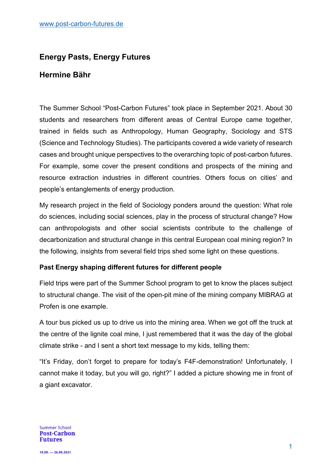# **Energy Pasts, Energy Futures**

# **Hermine Bähr**

The Summer School "Post-Carbon Futures" took place in September 2021. About 30 students and researchers from different areas of Central Europe came together, trained in fields such as Anthropology, Human Geography, Sociology and STS (Science and Technology Studies). The participants covered a wide variety of research cases and brought unique perspectives to the overarching topic of post-carbon futures. For example, some cover the present conditions and prospects of the mining and resource extraction industries in different countries. Others focus on cities' and people's entanglements of energy production.

My research project in the field of Sociology ponders around the question: What role do sciences, including social sciences, play in the process of structural change? How can anthropologists and other social scientists contribute to the challenge of decarbonization and structural change in this central European coal mining region? In the following, insights from several field trips shed some light on these questions.

## **Past Energy shaping different futures for different people**

Field trips were part of the Summer School program to get to know the places subject to structural change. The visit of the open-pit mine of the mining company MIBRAG at Profen is one example.

A tour bus picked us up to drive us into the mining area. When we got off the truck at the centre of the lignite coal mine, I just remembered that it was the day of the global climate strike - and I sent a short text message to my kids, telling them:

"It's Friday, don't forget to prepare for today's F4F-demonstration! Unfortunately, I cannot make it today, but you will go, right?" I added a picture showing me in front of a giant excavator.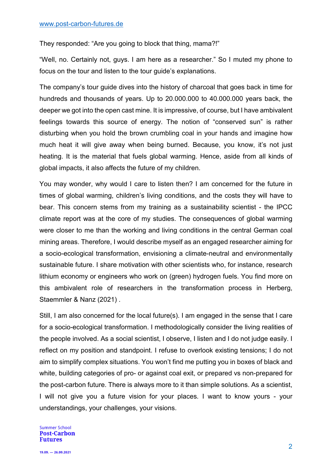They responded: "Are you going to block that thing, mama?!"

"Well, no. Certainly not, guys. I am here as a researcher." So I muted my phone to focus on the tour and listen to the tour guide's explanations.

The company's tour guide dives into the history of charcoal that goes back in time for hundreds and thousands of years. Up to 20.000.000 to 40.000.000 years back, the deeper we got into the open cast mine. It is impressive, of course, but I have ambivalent feelings towards this source of energy. The notion of "conserved sun" is rather disturbing when you hold the brown crumbling coal in your hands and imagine how much heat it will give away when being burned. Because, you know, it's not just heating. It is the material that fuels global warming. Hence, aside from all kinds of global impacts, it also affects the future of my children.

You may wonder, why would I care to listen then? I am concerned for the future in times of global warming, children's living conditions, and the costs they will have to bear. This concern stems from my training as a sustainability scientist - the IPCC climate report was at the core of my studies. The consequences of global warming were closer to me than the working and living conditions in the central German coal mining areas. Therefore, I would describe myself as an engaged researcher aiming for a socio-ecological transformation, envisioning a climate-neutral and environmentally sustainable future. I share motivation with other scientists who, for instance, research lithium economy or engineers who work on (green) hydrogen fuels. You find more on this ambivalent role of researchers in the transformation process in Herberg, Staemmler & Nanz (2021) .

Still, I am also concerned for the local future(s). I am engaged in the sense that I care for a socio-ecological transformation. I methodologically consider the living realities of the people involved. As a social scientist, I observe, I listen and I do not judge easily. I reflect on my position and standpoint. I refuse to overlook existing tensions; I do not aim to simplify complex situations. You won't find me putting you in boxes of black and white, building categories of pro- or against coal exit, or prepared vs non-prepared for the post-carbon future. There is always more to it than simple solutions. As a scientist, I will not give you a future vision for your places. I want to know yours - your understandings, your challenges, your visions.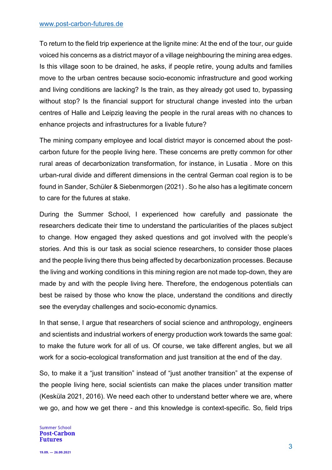### www.post-carbon-futures.de

To return to the field trip experience at the lignite mine: At the end of the tour, our guide voiced his concerns as a district mayor of a village neighbouring the mining area edges. Is this village soon to be drained, he asks, if people retire, young adults and families move to the urban centres because socio-economic infrastructure and good working and living conditions are lacking? Is the train, as they already got used to, bypassing without stop? Is the financial support for structural change invested into the urban centres of Halle and Leipzig leaving the people in the rural areas with no chances to enhance projects and infrastructures for a livable future?

The mining company employee and local district mayor is concerned about the postcarbon future for the people living here. These concerns are pretty common for other rural areas of decarbonization transformation, for instance, in Lusatia . More on this urban-rural divide and different dimensions in the central German coal region is to be found in Sander, Schüler & Siebenmorgen (2021) . So he also has a legitimate concern to care for the futures at stake.

During the Summer School, I experienced how carefully and passionate the researchers dedicate their time to understand the particularities of the places subject to change. How engaged they asked questions and got involved with the people's stories. And this is our task as social science researchers, to consider those places and the people living there thus being affected by decarbonization processes. Because the living and working conditions in this mining region are not made top-down, they are made by and with the people living here. Therefore, the endogenous potentials can best be raised by those who know the place, understand the conditions and directly see the everyday challenges and socio-economic dynamics.

In that sense, I argue that researchers of social science and anthropology, engineers and scientists and industrial workers of energy production work towards the same goal: to make the future work for all of us. Of course, we take different angles, but we all work for a socio-ecological transformation and just transition at the end of the day.

So, to make it a "just transition" instead of "just another transition" at the expense of the people living here, social scientists can make the places under transition matter (Kesküla 2021, 2016). We need each other to understand better where we are, where we go, and how we get there - and this knowledge is context-specific. So, field trips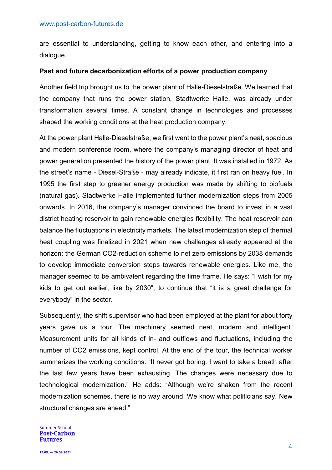are essential to understanding, getting to know each other, and entering into a dialogue.

## **Past and future decarbonization efforts of a power production company**

Another field trip brought us to the power plant of Halle-Dieselstraße. We learned that the company that runs the power station, Stadtwerke Halle, was already under transformation several times. A constant change in technologies and processes shaped the working conditions at the heat production company.

At the power plant Halle-Dieselstraße, we first went to the power plant's neat, spacious and modern conference room, where the company's managing director of heat and power generation presented the history of the power plant. It was installed in 1972. As the street's name - Diesel-Straße - may already indicate, it first ran on heavy fuel. In 1995 the first step to greener energy production was made by shifting to biofuels (natural gas). Stadtwerke Halle implemented further modernization steps from 2005 onwards. In 2016, the company's manager convinced the board to invest in a vast district heating reservoir to gain renewable energies flexibility. The heat reservoir can balance the fluctuations in electricity markets. The latest modernization step of thermal heat coupling was finalized in 2021 when new challenges already appeared at the horizon: the German CO2-reduction scheme to net zero emissions by 2038 demands to develop immediate conversion steps towards renewable energies. Like me, the manager seemed to be ambivalent regarding the time frame. He says: "I wish for my kids to get out earlier, like by 2030", to continue that "it is a great challenge for everybody" in the sector.

Subsequently, the shift supervisor who had been employed at the plant for about forty years gave us a tour. The machinery seemed neat, modern and intelligent. Measurement units for all kinds of in- and outflows and fluctuations, including the number of CO2 emissions, kept control. At the end of the tour, the technical worker summarizes the working conditions: "It never got boring. I want to take a breath after the last few years have been exhausting. The changes were necessary due to technological modernization." He adds: "Although we're shaken from the recent modernization schemes, there is no way around. We know what politicians say. New structural changes are ahead."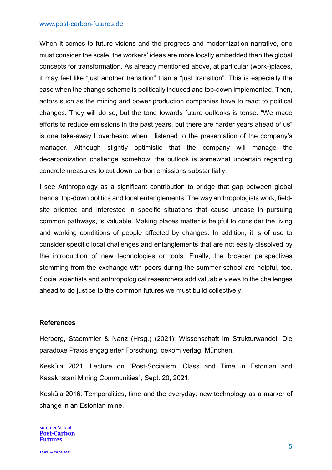### www.post-carbon-futures.de

When it comes to future visions and the progress and modernization narrative, one must consider the scale: the workers' ideas are more locally embedded than the global concepts for transformation. As already mentioned above, at particular (work-)places, it may feel like "just another transition" than a "just transition". This is especially the case when the change scheme is politically induced and top-down implemented. Then, actors such as the mining and power production companies have to react to political changes. They will do so, but the tone towards future outlooks is tense. "We made efforts to reduce emissions in the past years, but there are harder years ahead of us" is one take-away I overheard when I listened to the presentation of the company's manager. Although slightly optimistic that the company will manage the decarbonization challenge somehow, the outlook is somewhat uncertain regarding concrete measures to cut down carbon emissions substantially.

I see Anthropology as a significant contribution to bridge that gap between global trends, top-down politics and local entanglements. The way anthropologists work, fieldsite oriented and interested in specific situations that cause unease in pursuing common pathways, is valuable. Making places matter is helpful to consider the living and working conditions of people affected by changes. In addition, it is of use to consider specific local challenges and entanglements that are not easily dissolved by the introduction of new technologies or tools. Finally, the broader perspectives stemming from the exchange with peers during the summer school are helpful, too. Social scientists and anthropological researchers add valuable views to the challenges ahead to do justice to the common futures we must build collectively.

### **References**

Herberg, Staemmler & Nanz (Hrsg.) (2021): Wissenschaft im Strukturwandel. Die paradoxe Praxis engagierter Forschung. oekom verlag, München.

Kesküla 2021: Lecture on "Post-Socialism, Class and Time in Estonian and Kasakhstani Mining Communities", Sept. 20, 2021.

Kesküla 2016: Temporalities, time and the everyday: new technology as a marker of change in an Estonian mine.